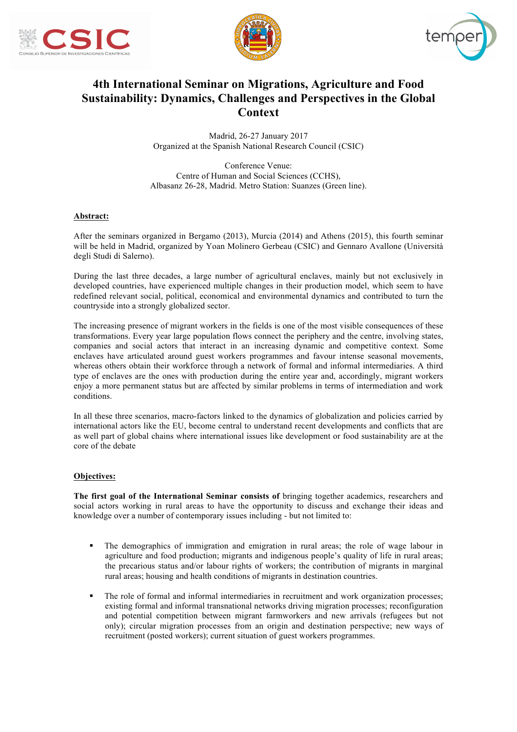





# **4th International Seminar on Migrations, Agriculture and Food Sustainability: Dynamics, Challenges and Perspectives in the Global Context**

Madrid, 26-27 January 2017 Organized at the Spanish National Research Council (CSIC)

Conference Venue: Centre of Human and Social Sciences (CCHS), Albasanz 26-28, Madrid. Metro Station: Suanzes (Green line).

### **Abstract:**

After the seminars organized in Bergamo (2013), Murcia (2014) and Athens (2015), this fourth seminar will be held in Madrid, organized by Yoan Molinero Gerbeau (CSIC) and Gennaro Avallone (Università degli Studi di Salerno).

During the last three decades, a large number of agricultural enclaves, mainly but not exclusively in developed countries, have experienced multiple changes in their production model, which seem to have redefined relevant social, political, economical and environmental dynamics and contributed to turn the countryside into a strongly globalized sector.

The increasing presence of migrant workers in the fields is one of the most visible consequences of these transformations. Every year large population flows connect the periphery and the centre, involving states, companies and social actors that interact in an increasing dynamic and competitive context. Some enclaves have articulated around guest workers programmes and favour intense seasonal movements, whereas others obtain their workforce through a network of formal and informal intermediaries. A third type of enclaves are the ones with production during the entire year and, accordingly, migrant workers enjoy a more permanent status but are affected by similar problems in terms of intermediation and work conditions.

In all these three scenarios, macro-factors linked to the dynamics of globalization and policies carried by international actors like the EU, become central to understand recent developments and conflicts that are as well part of global chains where international issues like development or food sustainability are at the core of the debate

## **Objectives:**

**The first goal of the International Seminar consists of** bringing together academics, researchers and social actors working in rural areas to have the opportunity to discuss and exchange their ideas and knowledge over a number of contemporary issues including - but not limited to:

- The demographics of immigration and emigration in rural areas; the role of wage labour in agriculture and food production; migrants and indigenous people's quality of life in rural areas; the precarious status and/or labour rights of workers; the contribution of migrants in marginal rural areas; housing and health conditions of migrants in destination countries.
- The role of formal and informal intermediaries in recruitment and work organization processes; existing formal and informal transnational networks driving migration processes; reconfiguration and potential competition between migrant farmworkers and new arrivals (refugees but not only); circular migration processes from an origin and destination perspective; new ways of recruitment (posted workers); current situation of guest workers programmes.